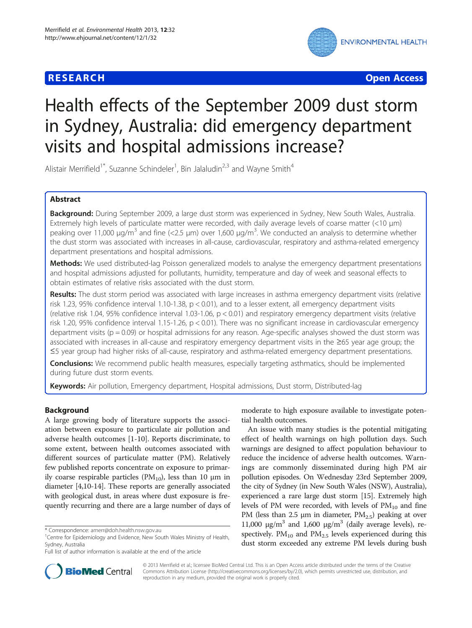## **RESEARCH CHE Open Access**



# Health effects of the September 2009 dust storm in Sydney, Australia: did emergency department visits and hospital admissions increase?

Alistair Merrifield<sup>1\*</sup>, Suzanne Schindeler<sup>1</sup>, Bin Jalaludin<sup>2,3</sup> and Wayne Smith<sup>4</sup>

## Abstract

Background: During September 2009, a large dust storm was experienced in Sydney, New South Wales, Australia. Extremely high levels of particulate matter were recorded, with daily average levels of coarse matter (<10 μm) peaking over 11,000 μg/m<sup>3</sup> and fine (<2.5 μm) over 1,600 μg/m<sup>3</sup>. We conducted an analysis to determine whether the dust storm was associated with increases in all-cause, cardiovascular, respiratory and asthma-related emergency department presentations and hospital admissions.

Methods: We used distributed-lag Poisson generalized models to analyse the emergency department presentations and hospital admissions adjusted for pollutants, humidity, temperature and day of week and seasonal effects to obtain estimates of relative risks associated with the dust storm.

Results: The dust storm period was associated with large increases in asthma emergency department visits (relative risk 1.23, 95% confidence interval 1.10-1.38,  $p < 0.01$ ), and to a lesser extent, all emergency department visits (relative risk 1.04, 95% confidence interval 1.03-1.06, p < 0.01) and respiratory emergency department visits (relative risk 1.20, 95% confidence interval 1.15-1.26,  $p < 0.01$ ). There was no significant increase in cardiovascular emergency department visits ( $p = 0.09$ ) or hospital admissions for any reason. Age-specific analyses showed the dust storm was associated with increases in all-cause and respiratory emergency department visits in the ≥65 year age group; the ≤5 year group had higher risks of all-cause, respiratory and asthma-related emergency department presentations.

**Conclusions:** We recommend public health measures, especially targeting asthmatics, should be implemented during future dust storm events.

Keywords: Air pollution, Emergency department, Hospital admissions, Dust storm, Distributed-lag

## Background

A large growing body of literature supports the association between exposure to particulate air pollution and adverse health outcomes [[1-10](#page-5-0)]. Reports discriminate, to some extent, between health outcomes associated with different sources of particulate matter (PM). Relatively few published reports concentrate on exposure to primarily coarse respirable particles ( $PM<sub>10</sub>$ ), less than 10 μm in diameter [\[4,10-14](#page-5-0)]. These reports are generally associated with geological dust, in areas where dust exposure is frequently recurring and there are a large number of days of

Full list of author information is available at the end of the article

moderate to high exposure available to investigate potential health outcomes.

An issue with many studies is the potential mitigating effect of health warnings on high pollution days. Such warnings are designed to affect population behaviour to reduce the incidence of adverse health outcomes. Warnings are commonly disseminated during high PM air pollution episodes. On Wednesday 23rd September 2009, the city of Sydney (in New South Wales (NSW), Australia), experienced a rare large dust storm [[15](#page-5-0)]. Extremely high levels of PM were recorded, with levels of  $PM_{10}$  and fine PM (less than 2.5  $\mu$ m in diameter, PM<sub>2.5</sub>) peaking at over 11,000 μg/m<sup>3</sup> and 1,600 μg/m<sup>3</sup> (daily average levels), respectively.  $PM_{10}$  and  $PM_{2.5}$  levels experienced during this dust storm exceeded any extreme PM levels during bush



© 2013 Merrifield et al.; licensee BioMed Central Ltd. This is an Open Access article distributed under the terms of the Creative Commons Attribution License [\(http://creativecommons.org/licenses/by/2.0\)](http://creativecommons.org/licenses/by/2.0), which permits unrestricted use, distribution, and reproduction in any medium, provided the original work is properly cited.

<sup>\*</sup> Correspondence: [amerr@doh.health.nsw.gov.au](mailto:amerr@doh.health.nsw.gov.au) <sup>1</sup>

<sup>&</sup>lt;sup>1</sup> Centre for Epidemiology and Evidence, New South Wales Ministry of Health, Sydney, Australia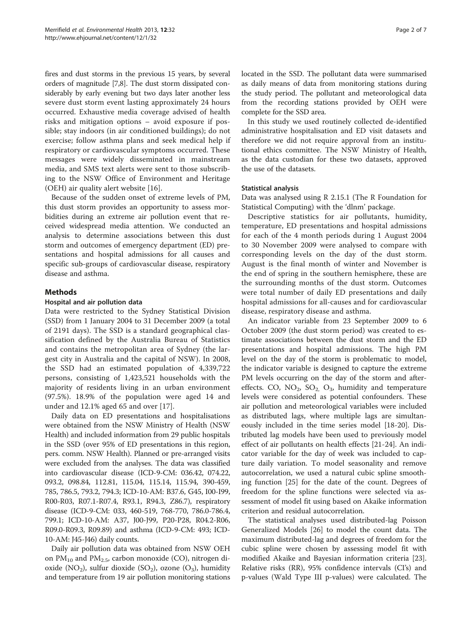fires and dust storms in the previous 15 years, by several orders of magnitude [\[7,8\]](#page-5-0). The dust storm dissipated considerably by early evening but two days later another less severe dust storm event lasting approximately 24 hours occurred. Exhaustive media coverage advised of health risks and mitigation options – avoid exposure if possible; stay indoors (in air conditioned buildings); do not exercise; follow asthma plans and seek medical help if respiratory or cardiovascular symptoms occurred. These messages were widely disseminated in mainstream media, and SMS text alerts were sent to those subscribing to the NSW Office of Environment and Heritage (OEH) air quality alert website [\[16](#page-5-0)].

Because of the sudden onset of extreme levels of PM, this dust storm provides an opportunity to assess morbidities during an extreme air pollution event that received widespread media attention. We conducted an analysis to determine associations between this dust storm and outcomes of emergency department (ED) presentations and hospital admissions for all causes and specific sub-groups of cardiovascular disease, respiratory disease and asthma.

## Methods

### Hospital and air pollution data

Data were restricted to the Sydney Statistical Division (SSD) from 1 January 2004 to 31 December 2009 (a total of 2191 days). The SSD is a standard geographical classification defined by the Australia Bureau of Statistics and contains the metropolitan area of Sydney (the largest city in Australia and the capital of NSW). In 2008, the SSD had an estimated population of 4,339,722 persons, consisting of 1,423,521 households with the majority of residents living in an urban environment (97.5%). 18.9% of the population were aged 14 and under and 12.1% aged 65 and over [[17\]](#page-5-0).

Daily data on ED presentations and hospitalisations were obtained from the NSW Ministry of Health (NSW Health) and included information from 29 public hospitals in the SSD (over 95% of ED presentations in this region, pers. comm. NSW Health). Planned or pre-arranged visits were excluded from the analyses. The data was classified into cardiovascular disease (ICD-9-CM: 036.42, 074.22, 093.2, 098.84, 112.81, 115.04, 115.14, 115.94, 390-459, 785, 786.5, 793.2, 794.3; ICD-10-AM: B37.6, G45, I00-I99, R00-R03, R07.1-R07.4, R93.1, R94.3, Z86.7), respiratory disease (ICD-9-CM: 033, 460-519, 768-770, 786.0-786.4, 799.1; ICD-10-AM: A37, J00-J99, P20-P28, R04.2-R06, R09.0-R09.3, R09.89) and asthma (ICD-9-CM: 493; ICD-10-AM: J45-J46) daily counts.

Daily air pollution data was obtained from NSW OEH on  $PM_{10}$  and  $PM_{2.5}$ , carbon monoxide (CO), nitrogen dioxide (NO<sub>2</sub>), sulfur dioxide (SO<sub>2</sub>), ozone (O<sub>3</sub>), humidity and temperature from 19 air pollution monitoring stations located in the SSD. The pollutant data were summarised as daily means of data from monitoring stations during the study period. The pollutant and meteorological data from the recording stations provided by OEH were complete for the SSD area.

In this study we used routinely collected de-identified administrative hospitalisation and ED visit datasets and therefore we did not require approval from an institutional ethics committee. The NSW Ministry of Health, as the data custodian for these two datasets, approved the use of the datasets.

### Statistical analysis

Data was analysed using R 2.15.1 (The R Foundation for Statistical Computing) with the 'dlnm' package.

Descriptive statistics for air pollutants, humidity, temperature, ED presentations and hospital admissions for each of the 4 month periods during 1 August 2004 to 30 November 2009 were analysed to compare with corresponding levels on the day of the dust storm. August is the final month of winter and November is the end of spring in the southern hemisphere, these are the surrounding months of the dust storm. Outcomes were total number of daily ED presentations and daily hospital admissions for all-causes and for cardiovascular disease, respiratory disease and asthma.

An indicator variable from 23 September 2009 to 6 October 2009 (the dust storm period) was created to estimate associations between the dust storm and the ED presentations and hospital admissions. The high PM level on the day of the storm is problematic to model, the indicator variable is designed to capture the extreme PM levels occurring on the day of the storm and aftereffects. CO,  $NO_2$ ,  $SO_2$ ,  $O_3$ , humidity and temperature levels were considered as potential confounders. These air pollution and meteorological variables were included as distributed lags, where multiple lags are simultaneously included in the time series model [\[18](#page-5-0)-[20](#page-5-0)]. Distributed lag models have been used to previously model effect of air pollutants on health effects [\[21](#page-6-0)-[24\]](#page-6-0). An indicator variable for the day of week was included to capture daily variation. To model seasonality and remove autocorrelation, we used a natural cubic spline smoothing function [\[25](#page-6-0)] for the date of the count. Degrees of freedom for the spline functions were selected via assessment of model fit using based on Akaike information criterion and residual autocorrelation.

The statistical analyses used distributed-lag Poisson Generalized Models [[26\]](#page-6-0) to model the count data. The maximum distributed-lag and degrees of freedom for the cubic spline were chosen by assessing model fit with modified Akaike and Bayesian information criteria [\[23](#page-6-0)]. Relative risks (RR), 95% confidence intervals (CI's) and p-values (Wald Type III p-values) were calculated. The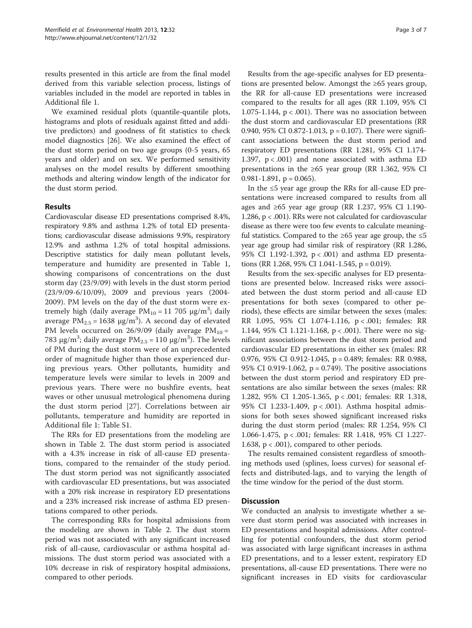results presented in this article are from the final model derived from this variable selection process, listings of variables included in the model are reported in tables in Additional file [1.](#page-5-0)

We examined residual plots (quantile-quantile plots, histograms and plots of residuals against fitted and additive predictors) and goodness of fit statistics to check model diagnostics [[26](#page-6-0)]. We also examined the effect of the dust storm period on two age groups (0-5 years, 65 years and older) and on sex. We performed sensitivity analyses on the model results by different smoothing methods and altering window length of the indicator for the dust storm period.

## Results

Cardiovascular disease ED presentations comprised 8.4%, respiratory 9.8% and asthma 1.2% of total ED presentations; cardiovascular disease admissions 9.9%, respiratory 12.9% and asthma 1.2% of total hospital admissions. Descriptive statistics for daily mean pollutant levels, temperature and humidity are presented in Table [1](#page-3-0), showing comparisons of concentrations on the dust storm day (23/9/09) with levels in the dust storm period (23/9/09-6/10/09), 2009 and previous years (2004- 2009). PM levels on the day of the dust storm were extremely high (daily average  $PM_{10} = 11\,705\,$   $\mu$ g/m $^3$ ; daily average  $PM_{2.5} = 1638 \text{ µg/m}^3$ ). A second day of elevated PM levels occurred on  $26/9/09$  (daily average PM<sub>10</sub> = 783 μg/m<sup>3</sup>; daily average PM<sub>2.5</sub> = 110 μg/m<sup>3</sup>). The levels of PM during the dust storm were of an unprecedented order of magnitude higher than those experienced during previous years. Other pollutants, humidity and temperature levels were similar to levels in 2009 and previous years. There were no bushfire events, heat waves or other unusual metrological phenomena during the dust storm period [[27\]](#page-6-0). Correlations between air pollutants, temperature and humidity are reported in Additional file [1:](#page-5-0) Table S1.

The RRs for ED presentations from the modeling are shown in Table [2](#page-4-0). The dust storm period is associated with a 4.3% increase in risk of all-cause ED presentations, compared to the remainder of the study period. The dust storm period was not significantly associated with cardiovascular ED presentations, but was associated with a 20% risk increase in respiratory ED presentations and a 23% increased risk increase of asthma ED presentations compared to other periods.

The corresponding RRs for hospital admissions from the modeling are shown in Table [2](#page-4-0). The dust storm period was not associated with any significant increased risk of all-cause, cardiovascular or asthma hospital admissions. The dust storm period was associated with a 10% decrease in risk of respiratory hospital admissions, compared to other periods.

Results from the age-specific analyses for ED presentations are presented below. Amongst the ≥65 years group, the RR for all-cause ED presentations were increased compared to the results for all ages (RR 1.109, 95% CI 1.075-1.144,  $p < .001$ ). There was no association between the dust storm and cardiovascular ED presentations (RR 0.940, 95% CI 0.872-1.013,  $p = 0.107$ ). There were significant associations between the dust storm period and respiratory ED presentations (RR 1.281, 95% CI 1.174- 1.397,  $p < .001$ ) and none associated with asthma ED presentations in the ≥65 year group (RR 1.362, 95% CI  $0.981 - 1.891$ ,  $p = 0.065$ ).

In the  $\leq 5$  year age group the RRs for all-cause ED presentations were increased compared to results from all ages and ≥65 year age group (RR 1.237, 95% CI 1.190-1.286, p < .001). RRs were not calculated for cardiovascular disease as there were too few events to calculate meaningful statistics. Compared to the  $\geq 65$  year age group, the  $\leq 5$ year age group had similar risk of respiratory (RR 1.286, 95% CI 1.192-1.392, p < .001) and asthma ED presentations (RR 1.268, 95% CI 1.041-1.545, p = 0.019).

Results from the sex-specific analyses for ED presentations are presented below. Increased risks were associated between the dust storm period and all-cause ED presentations for both sexes (compared to other periods), these effects are similar between the sexes (males: RR 1.095, 95% CI 1.074-1.116, p < .001; females: RR 1.144, 95% CI 1.121-1.168, p < .001). There were no significant associations between the dust storm period and cardiovascular ED presentations in either sex (males: RR 0.976, 95% CI 0.912-1.045, p = 0.489; females: RR 0.988, 95% CI 0.919-1.062, p = 0.749). The positive associations between the dust storm period and respiratory ED presentations are also similar between the sexes (males: RR 1.282, 95% CI 1.205-1.365, p < .001; females: RR 1.318, 95% CI 1.233-1.409, p < .001). Asthma hospital admissions for both sexes showed significant increased risks during the dust storm period (males: RR 1.254, 95% CI 1.066-1.475, p < .001; females: RR 1.418, 95% CI 1.227- 1.638,  $p < .001$ ), compared to other periods.

The results remained consistent regardless of smoothing methods used (splines, loess curves) for seasonal effects and distributed-lags, and to varying the length of the time window for the period of the dust storm.

## **Discussion**

We conducted an analysis to investigate whether a severe dust storm period was associated with increases in ED presentations and hospital admissions. After controlling for potential confounders, the dust storm period was associated with large significant increases in asthma ED presentations, and to a lesser extent, respiratory ED presentations, all-cause ED presentations. There were no significant increases in ED visits for cardiovascular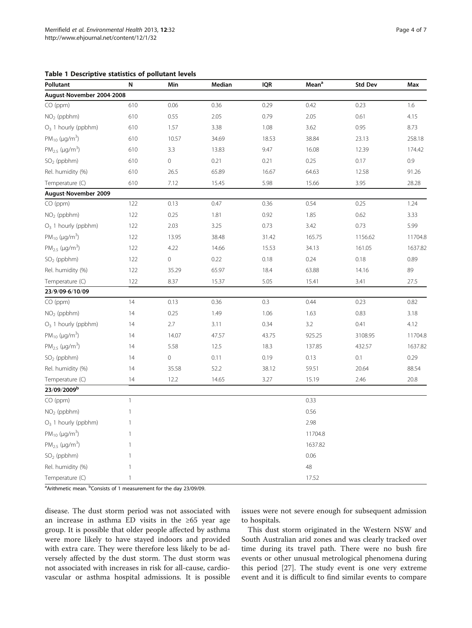<span id="page-3-0"></span>

|  | <b>Table 1 Descriptive statistics of pollutant levels</b> |  |  |  |
|--|-----------------------------------------------------------|--|--|--|
|--|-----------------------------------------------------------|--|--|--|

| Pollutant                       | N            | Min         | Median | <b>IQR</b> | Mean <sup>a</sup> | <b>Std Dev</b> | Max     |
|---------------------------------|--------------|-------------|--------|------------|-------------------|----------------|---------|
| August-November 2004-2008       |              |             |        |            |                   |                |         |
| $CO$ (ppm)                      | 610          | 0.06        | 0.36   | 0.29       | 0.42              | 0.23           | 1.6     |
| $NO2$ (ppbhm)                   | 610          | 0.55        | 2.05   | 0.79       | 2.05              | 0.61           | 4.15    |
| $O_3$ 1 hourly (ppbhm)          | 610          | 1.57        | 3.38   | 1.08       | 3.62              | 0.95           | 8.73    |
| $PM_{10}$ (µg/m <sup>3</sup> )  | 610          | 10.57       | 34.69  | 18.53      | 38.84             | 23.13          | 258.18  |
| $PM_{2.5}$ (µg/m <sup>3</sup> ) | 610          | 3.3         | 13.83  | 9.47       | 16.08             | 12.39          | 174.42  |
| $SO2$ (ppbhm)                   | 610          | $\mathbf 0$ | 0.21   | 0.21       | 0.25              | 0.17           | 0.9     |
| Rel. humidity (%)               | 610          | 26.5        | 65.89  | 16.67      | 64.63             | 12.58          | 91.26   |
| Temperature (C)                 | 610          | 7.12        | 15.45  | 5.98       | 15.66             | 3.95           | 28.28   |
| August-November 2009            |              |             |        |            |                   |                |         |
| $CO$ (ppm)                      | 122          | 0.13        | 0.47   | 0.36       | 0.54              | 0.25           | 1.24    |
| $NO2$ (ppbhm)                   | 122          | 0.25        | 1.81   | 0.92       | 1.85              | 0.62           | 3.33    |
| $O_3$ 1 hourly (ppbhm)          | 122          | 2.03        | 3.25   | 0.73       | 3.42              | 0.73           | 5.99    |
| $PM_{10}$ (µg/m <sup>3</sup> )  | 122          | 13.95       | 38.48  | 31.42      | 165.75            | 1156.62        | 11704.8 |
| $PM_{2.5}$ (µg/m <sup>3</sup> ) | 122          | 4.22        | 14.66  | 15.53      | 34.13             | 161.05         | 1637.82 |
| $SO2$ (ppbhm)                   | 122          | $\mathbf 0$ | 0.22   | 0.18       | 0.24              | 0.18           | 0.89    |
| Rel. humidity (%)               | 122          | 35.29       | 65.97  | 18.4       | 63.88             | 14.16          | 89      |
| Temperature (C)                 | 122          | 8.37        | 15.37  | 5.05       | 15.41             | 3.41           | 27.5    |
| 23/9/09-6/10/09                 |              |             |        |            |                   |                |         |
| CO (ppm)                        | 14           | 0.13        | 0.36   | 0.3        | 0.44              | 0.23           | 0.82    |
| $NO2$ (ppbhm)                   | 14           | 0.25        | 1.49   | 1.06       | 1.63              | 0.83           | 3.18    |
| $O_3$ 1 hourly (ppbhm)          | 14           | 2.7         | 3.11   | 0.34       | 3.2               | 0.41           | 4.12    |
| $PM_{10}$ (µg/m <sup>3</sup> )  | 14           | 14.07       | 47.57  | 43.75      | 925.25            | 3108.95        | 11704.8 |
| $PM_{2.5}$ (µg/m <sup>3</sup> ) | 14           | 5.58        | 12.5   | 18.3       | 137.85            | 432.57         | 1637.82 |
| $SO2$ (ppbhm)                   | 14           | $\mathbf 0$ | 0.11   | 0.19       | 0.13              | 0.1            | 0.29    |
| Rel. humidity (%)               | 14           | 35.58       | 52.2   | 38.12      | 59.51             | 20.64          | 88.54   |
| Temperature (C)                 | 14           | 12.2        | 14.65  | 3.27       | 15.19             | 2.46           | 20.8    |
| 23/09/2009b                     |              |             |        |            |                   |                |         |
| CO (ppm)                        | $\mathbf{1}$ |             |        |            | 0.33              |                |         |
| $NO2$ (ppbhm)                   | $\mathbf{1}$ |             |        |            | 0.56              |                |         |
| $O_3$ 1 hourly (ppbhm)          | 1            |             |        |            | 2.98              |                |         |
| $PM_{10}$ (µg/m <sup>3</sup> )  | 1            |             |        |            | 11704.8           |                |         |
| $PM_{2.5}$ (µg/m <sup>3</sup> ) | 1            |             |        |            | 1637.82           |                |         |
| $SO2$ (ppbhm)                   | 1            |             |        |            | 0.06              |                |         |
| Rel. humidity (%)               | $\mathbf{1}$ |             |        |            | 48                |                |         |
| Temperature (C)                 | $\mathbf{1}$ |             |        |            | 17.52             |                |         |

<sup>a</sup> Arithmetic mean. <sup>b</sup> Consists of 1 measurement for the day 23/09/09.

disease. The dust storm period was not associated with an increase in asthma ED visits in the ≥65 year age group. It is possible that older people affected by asthma were more likely to have stayed indoors and provided with extra care. They were therefore less likely to be adversely affected by the dust storm. The dust storm was not associated with increases in risk for all-cause, cardiovascular or asthma hospital admissions. It is possible issues were not severe enough for subsequent admission to hospitals.

This dust storm originated in the Western NSW and South Australian arid zones and was clearly tracked over time during its travel path. There were no bush fire events or other unusual metrological phenomena during this period [\[27](#page-6-0)]. The study event is one very extreme event and it is difficult to find similar events to compare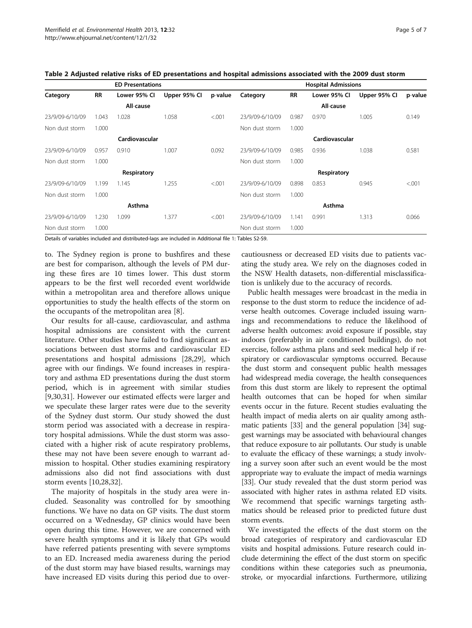| <b>ED Presentations</b> |           |              |              | <b>Hospital Admissions</b> |                 |           |              |              |         |
|-------------------------|-----------|--------------|--------------|----------------------------|-----------------|-----------|--------------|--------------|---------|
| Category                | <b>RR</b> | Lower 95% Cl | Upper 95% Cl | p-value                    | Category        | <b>RR</b> | Lower 95% Cl | Upper 95% Cl | p-value |
|                         |           | All-cause    |              |                            |                 |           | All-cause    |              |         |
| 23/9/09-6/10/09         | 1.043     | 1.028        | 1.058        | < 0.001                    | 23/9/09-6/10/09 | 0.987     | 0.970        | 1.005        | 0.149   |
| Non dust storm          | 1.000     |              |              |                            | Non dust storm  | 1.000     |              |              |         |
| Cardiovascular          |           |              |              | Cardiovascular             |                 |           |              |              |         |
| 23/9/09-6/10/09         | 0.957     | 0.910        | 1.007        | 0.092                      | 23/9/09-6/10/09 | 0.985     | 0.936        | 1.038        | 0.581   |
| Non dust storm          | 1.000     |              |              |                            | Non dust storm  | 1.000     |              |              |         |
| Respiratory             |           |              |              | Respiratory                |                 |           |              |              |         |
| 23/9/09-6/10/09         | 1.199     | 1.145        | 1.255        | < 0.001                    | 23/9/09-6/10/09 | 0.898     | 0.853        | 0.945        | < 0.001 |
| Non dust storm          | 1.000     |              |              |                            | Non dust storm  | 1.000     |              |              |         |
|                         | Asthma    |              |              | Asthma                     |                 |           |              |              |         |
| 23/9/09-6/10/09         | 1.230     | 1.099        | 1.377        | < 0.001                    | 23/9/09-6/10/09 | 1.141     | 0.991        | 1.313        | 0.066   |
| Non dust storm          | 1.000     |              |              |                            | Non dust storm  | 1.000     |              |              |         |

<span id="page-4-0"></span>Table 2 Adjusted relative risks of ED presentations and hospital admissions associated with the 2009 dust storm

Details of variables included and distributed-lags are included in Additional file [1:](#page-5-0) Tables S2-S9.

to. The Sydney region is prone to bushfires and these are best for comparison, although the levels of PM during these fires are 10 times lower. This dust storm appears to be the first well recorded event worldwide within a metropolitan area and therefore allows unique opportunities to study the health effects of the storm on the occupants of the metropolitan area [\[8](#page-5-0)].

Our results for all-cause, cardiovascular, and asthma hospital admissions are consistent with the current literature. Other studies have failed to find significant associations between dust storms and cardiovascular ED presentations and hospital admissions [\[28,29](#page-6-0)], which agree with our findings. We found increases in respiratory and asthma ED presentations during the dust storm period, which is in agreement with similar studies [[9,](#page-5-0)[30,31\]](#page-6-0). However our estimated effects were larger and we speculate these larger rates were due to the severity of the Sydney dust storm. Our study showed the dust storm period was associated with a decrease in respiratory hospital admissions. While the dust storm was associated with a higher risk of acute respiratory problems, these may not have been severe enough to warrant admission to hospital. Other studies examining respiratory admissions also did not find associations with dust storm events [[10](#page-5-0),[28,32](#page-6-0)].

The majority of hospitals in the study area were included. Seasonality was controlled for by smoothing functions. We have no data on GP visits. The dust storm occurred on a Wednesday, GP clinics would have been open during this time. However, we are concerned with severe health symptoms and it is likely that GPs would have referred patients presenting with severe symptoms to an ED. Increased media awareness during the period of the dust storm may have biased results, warnings may have increased ED visits during this period due to overcautiousness or decreased ED visits due to patients vacating the study area. We rely on the diagnoses coded in the NSW Health datasets, non-differential misclassification is unlikely due to the accuracy of records.

Public health messages were broadcast in the media in response to the dust storm to reduce the incidence of adverse health outcomes. Coverage included issuing warnings and recommendations to reduce the likelihood of adverse health outcomes: avoid exposure if possible, stay indoors (preferably in air conditioned buildings), do not exercise, follow asthma plans and seek medical help if respiratory or cardiovascular symptoms occurred. Because the dust storm and consequent public health messages had widespread media coverage, the health consequences from this dust storm are likely to represent the optimal health outcomes that can be hoped for when similar events occur in the future. Recent studies evaluating the health impact of media alerts on air quality among asthmatic patients [[33](#page-6-0)] and the general population [[34](#page-6-0)] suggest warnings may be associated with behavioural changes that reduce exposure to air pollutants. Our study is unable to evaluate the efficacy of these warnings; a study involving a survey soon after such an event would be the most appropriate way to evaluate the impact of media warnings [[33](#page-6-0)]. Our study revealed that the dust storm period was associated with higher rates in asthma related ED visits. We recommend that specific warnings targeting asthmatics should be released prior to predicted future dust storm events.

We investigated the effects of the dust storm on the broad categories of respiratory and cardiovascular ED visits and hospital admissions. Future research could include determining the effect of the dust storm on specific conditions within these categories such as pneumonia, stroke, or myocardial infarctions. Furthermore, utilizing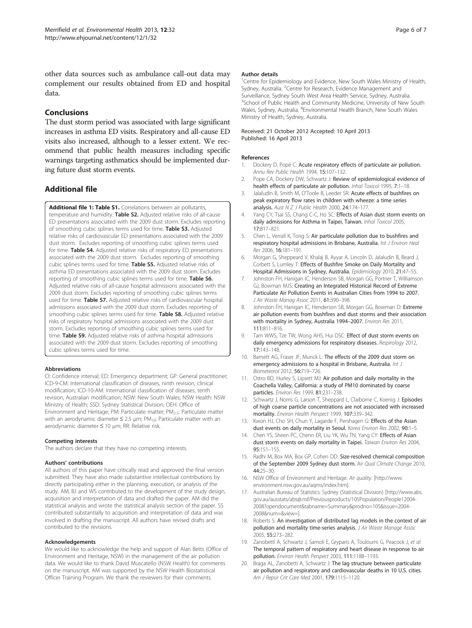<span id="page-5-0"></span>other data sources such as ambulance call-out data may complement our results obtained from ED and hospital data.

## Conclusions

The dust storm period was associated with large significant increases in asthma ED visits. Respiratory and all-cause ED visits also increased, although to a lesser extent. We recommend that public health measures including specific warnings targeting asthmatics should be implemented during future dust storm events.

## Additional file

[Additional file 1: Table S1.](http://www.biomedcentral.com/content/supplementary/1476-069X-12-32-S1.docx) Correlations between air pollutants, temperature and humidity. Table S2. Adjusted relative risks of all-cause ED presentations associated with the 2009 dust storm. Excludes reporting of smoothing cubic splines terms used for time. Table S3. Adjusted relative risks of cardiovascular ED presentations associated with the 2009 dust storm. Excludes reporting of smoothing cubic splines terms used for time. Table S4. Adjusted relative risks of respiratory ED presentations associated with the 2009 dust storm. Excludes reporting of smoothing cubic splines terms used for time. Table S5. Adjusted relative risks of asthma ED presentations associated with the 2009 dust storm. Excludes reporting of smoothing cubic splines terms used for time. Table S6. Adjusted relative risks of all-cause hospital admissions associated with the 2009 dust storm. Excludes reporting of smoothing cubic splines terms used for time. Table S7. Adjusted relative risks of cardiovascular hospital admissions associated with the 2009 dust storm. Excludes reporting of smoothing cubic splines terms used for time. Table S8, Adjusted relative risks of respiratory hospital admissions associated with the 2009 dust storm. Excludes reporting of smoothing cubic splines terms used for time. **Table S9.** Adjusted relative risks of asthma hospital admissions associated with the 2009 dust storm. Excludes reporting of smoothing cubic splines terms used for time.

#### Abbreviations

CI: Confidence interval; ED: Emergency department; GP: General practitioner; ICD-9-CM: International classification of diseases, ninth revision, clinical modification; ICD-10-AM: International classification of diseases, tenth revision, Australian modification; NSW: New South Wales; NSW Health: NSW Ministry of Health; SSD: Sydney Statistical Division; OEH: Office of Environment and Heritage; PM: Particulate matter; PM<sub>2.5</sub>: Particulate matter with an aerodynamic diameter  $\leq$  2.5  $\mu$ m; PM<sub>10</sub>: Particulate matter with an aerodynamic diameter ≤ 10 μm; RR: Relative risk.

#### Competing interests

The authors declare that they have no competing interests.

#### Authors' contributions

All authors of this paper have critically read and approved the final version submitted. They have also made substantive intellectual contributions by directly participating either in the planning, execution, or analysis of the study. AM, BJ and WS contributed to the development of the study design, acquisition and interpretation of data and drafted the paper. AM did the statistical analysis and wrote the statistical analysis section of the paper. SS contributed substantially to acquisition and interpretation of data and was involved in drafting the manuscript. All authors have revised drafts and contributed to the revisions.

#### Acknowledgements

We would like to acknowledge the help and support of Alan Betts (Office of Environment and Heritage, NSW) in the management of the air pollution data. We would like to thank David Muscatello (NSW Health) for comments on the manuscript. AM was supported by the NSW Health Biostatistical Officer Training Program. We thank the reviewers for their comments.

#### Author details

<sup>1</sup> Centre for Epidemiology and Evidence, New South Wales Ministry of Health, Sydney, Australia. <sup>2</sup> Centre for Research, Evidence Management and Surveillance, Sydney South West Area Health Service, Sydney, Australia. <sup>3</sup>School of Public Health and Community Medicine, University of New South Wales, Sydney, Australia. <sup>4</sup>Environmental Health Branch, New South Wales Ministry of Health, Sydney, Australia.

#### Received: 21 October 2012 Accepted: 10 April 2013 Published: 16 April 2013

#### References

- 1. Dockery D, Pope C: Acute respiratory effects of particulate air pollution. Annu Rev Public Health 1994, 15:107–132.
- 2. Pope CA, Dockery DW, Schwartz J: Review of epidemiological evidence of health effects of particulate air pollution. Inhal Toxicol 1995, 7:1-18.
- 3. Jalaludin B, Smith M, O'Toole B, Leeder SR: Acute effects of bushfires on peak expiratory flow rates in children with wheeze: a time series analysis. Aust N Z J Public Health 2000, 24:174–177.
- 4. Yang CY, Tsai SS, Chang C-C, Ho SC: Effects of Asian dust storm events on daily admissions for Asthma in Taipei, Taiwan. Inhal Toxicol 2005, 17:817–821.
- 5. Chen L, Verrall K, Tong S: Air particulate pollution due to bushfires and respiratory hospital admissions in Brisbane, Australia. Int J Environ Heal Res 2006, 16:181–191.
- 6. Morgan G, Sheppeard V, Khalaj B, Ayyar A, Lincoln D, Jalaludin B, Beard J, Corbett S, Lumley T: Effects of Bushfire Smoke on Daily Mortality and Hospital Admissions in Sydney, Australia. Epidemiology 2010, 21:47–55.
- 7. Johnston FH, Hanigan IC, Henderson SB, Morgan GG, Portner T, Williamson GJ, Bowman MJS: Creating an Integrated Historical Record of Extreme Particulate Air Pollution Events in Australian Cities from 1994 to 2007. J Air Waste Manag Assoc 2011, 61:390–398.
- 8. Johnston FH, Hanigan IC, Henderson SB, Morgan GG, Bowman D: Extreme air pollution events from bushfires and dust storms and their association with mortality in Sydney, Australia 1994–2007. Environ Res 2011, 111:811–816.
- 9. Tam WWS, Tze TW, Wong AHS, Hui DSC: Effect of dust storm events on daily emergency admissions for respiratory diseases. Respirology 2012, 17:143–148.
- 10. Barnett AG, Fraser JF, Munck L: The effects of the 2009 dust storm on emergency admissions to a hospital in Brisbane, Australia. Int J Biometeorol 2012, 56:719–726.
- 11. Ostro BD, Hurley S, Lipsett MJ: Air pollution and daily mortality in the Coachella Valley, California: a study of PM10 dominated by coarse particles. Environ Res 1999, 81:231–238.
- 12. Schwartz J, Norris G, Larson T, Sheppard L, Claiborne C, Koenig J: Episodes of high coarse particle concentrations are not associated with increased mortality. Environ Health Perspect 1999, 107:339–342.
- 13. Kwon HJ, Cho SH, Chun Y, Lagarde F, Pershagen G: Effects of the Asian dust events on daily mortality in Seoul. Korea Environ Res 2002, 90:1-5.
- 14. Chen YS, Sheen PC, Chenn ER, Liu YK, Wu TN, Yang CY: Effects of Asian dust storm events on daily mortality in Taipei. Taiwan Environ Res 2004, 95:151–155.
- 15. Radhi M, Box MA, Box GP, Cohen DD: Size-resolved chemical composition of the September 2009 Sydney dust storm. Air Qual Climate Change 2010, 44:25–30.
- 16. NSW Office of Environment and Heritage: Air quality. [[http://www.](http://www.environment.nsw.gov.au/aqms/index.htm) [environment.nsw.gov.au/aqms/index.htm\]](http://www.environment.nsw.gov.au/aqms/index.htm).
- 17. Australian Bureau of Statistics: Sydney (Statistical Division) [[http://www.abs.](http://www.abs.gov.au/ausstats/abs@.nsf/Previousproducts/105Population/People12004-2008?opendocument&tabname=Summary&prodno=105&issue=2004-2008&num=&view) [gov.au/ausstats/abs@.nsf/Previousproducts/105Population/People12004-](http://www.abs.gov.au/ausstats/abs@.nsf/Previousproducts/105Population/People12004-2008?opendocument&tabname=Summary&prodno=105&issue=2004-2008&num=&view) [2008?opendocument&tabname=Summary&prodno=105&issue=2004-](http://www.abs.gov.au/ausstats/abs@.nsf/Previousproducts/105Population/People12004-2008?opendocument&tabname=Summary&prodno=105&issue=2004-2008&num=&view) [2008&num=&view=](http://www.abs.gov.au/ausstats/abs@.nsf/Previousproducts/105Population/People12004-2008?opendocument&tabname=Summary&prodno=105&issue=2004-2008&num=&view)].
- 18. Roberts S: An investigation of distributed lag models in the context of air pollution and mortality time-series analysis. J Air Waste Manage Assoc 2005, 55:273–282.
- 19. Zanobetti A, Schwartz J, Samoli E, Gryparis A, Touloumi G, Peacock J, et al: The temporal pattern of respiratory and heart disease in response to air pollution. Environ Health Perspect 2003, 111:1188–1193.
- 20. Braga AL, Zanobetti A, Schwartz J: The lag structure between particulate air pollution and respiratory and cardiovascular deaths in 10 U.S. cities. Am J Repsir Crit Care Med 2001, 179:1115–1120.